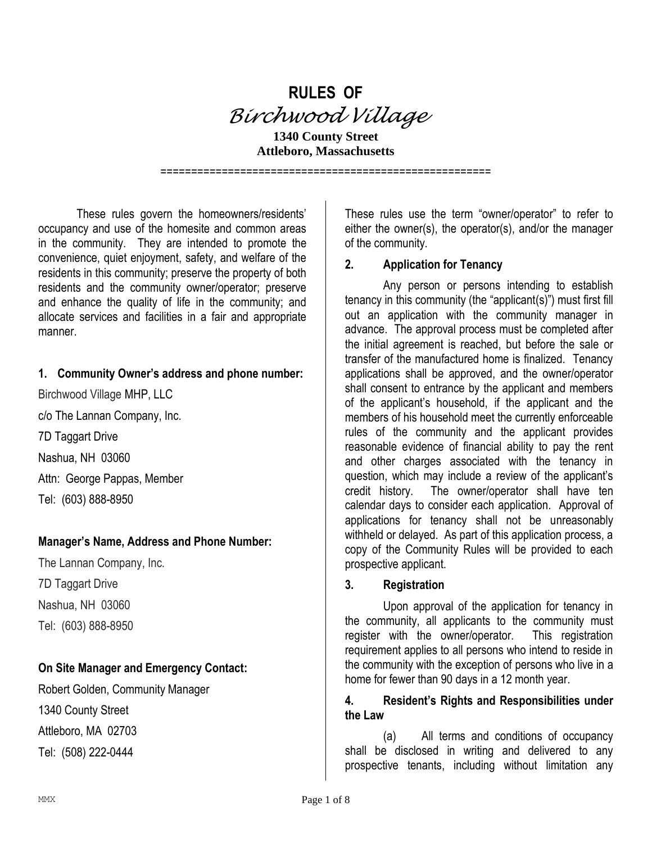

**1340 County Street Attleboro, Massachusetts**

These rules govern the homeowners/residents' occupancy and use of the homesite and common areas in the community. They are intended to promote the convenience, quiet enjoyment, safety, and welfare of the residents in this community; preserve the property of both residents and the community owner/operator; preserve and enhance the quality of life in the community; and allocate services and facilities in a fair and appropriate manner.

## **1. Community Owner's address and phone number:**

Birchwood Village MHP, LLC c/o The Lannan Company, Inc. 7D Taggart Drive Nashua, NH 03060 Attn: George Pappas, Member Tel: (603) 888-8950

## **Manager's Name, Address and Phone Number:**

The Lannan Company, Inc. 7D Taggart Drive Nashua, NH 03060 Tel: (603) 888-8950

## **On Site Manager and Emergency Contact:**

Robert Golden, Community Manager 1340 County Street Attleboro, MA 02703 Tel: (508) 222-0444

These rules use the term "owner/operator" to refer to either the owner(s), the operator(s), and/or the manager of the community.

## **2. Application for Tenancy**

======================================================

Any person or persons intending to establish tenancy in this community (the "applicant(s)") must first fill out an application with the community manager in advance. The approval process must be completed after the initial agreement is reached, but before the sale or transfer of the manufactured home is finalized. Tenancy applications shall be approved, and the owner/operator shall consent to entrance by the applicant and members of the applicant's household, if the applicant and the members of his household meet the currently enforceable rules of the community and the applicant provides reasonable evidence of financial ability to pay the rent and other charges associated with the tenancy in question, which may include a review of the applicant's credit history. The owner/operator shall have ten calendar days to consider each application. Approval of applications for tenancy shall not be unreasonably withheld or delayed. As part of this application process, a copy of the Community Rules will be provided to each prospective applicant.

## **3. Registration**

Upon approval of the application for tenancy in the community, all applicants to the community must register with the owner/operator. This registration requirement applies to all persons who intend to reside in the community with the exception of persons who live in a home for fewer than 90 days in a 12 month year.

#### **4. Resident's Rights and Responsibilities under the Law**

(a) All terms and conditions of occupancy shall be disclosed in writing and delivered to any prospective tenants, including without limitation any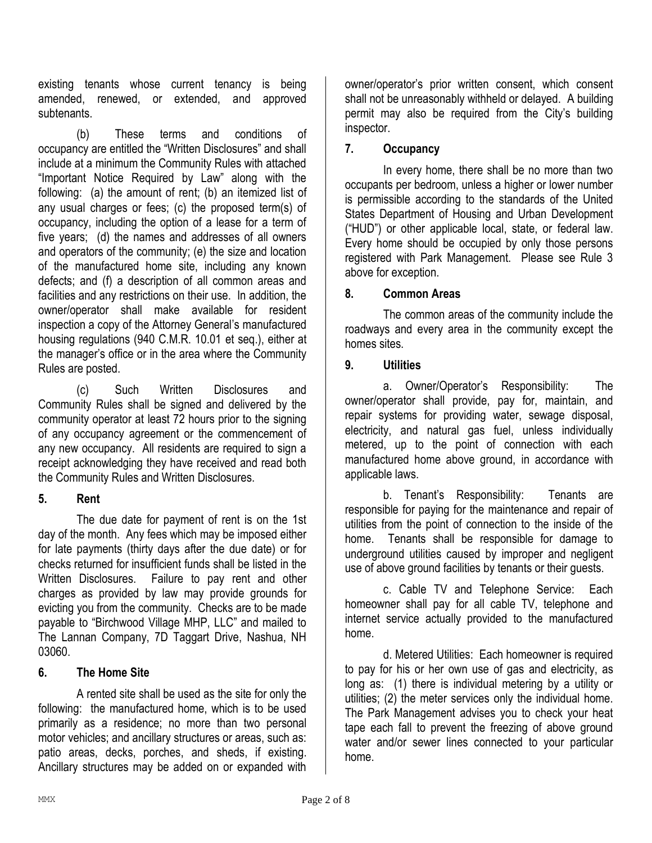existing tenants whose current tenancy is being amended, renewed, or extended, and approved subtenants.

(b) These terms and conditions of occupancy are entitled the "Written Disclosures" and shall include at a minimum the Community Rules with attached "Important Notice Required by Law" along with the following: (a) the amount of rent; (b) an itemized list of any usual charges or fees; (c) the proposed term(s) of occupancy, including the option of a lease for a term of five years; (d) the names and addresses of all owners and operators of the community; (e) the size and location of the manufactured home site, including any known defects; and (f) a description of all common areas and facilities and any restrictions on their use. In addition, the owner/operator shall make available for resident inspection a copy of the Attorney General's manufactured housing regulations (940 C.M.R. 10.01 et seq.), either at the manager's office or in the area where the Community Rules are posted.

(c) Such Written Disclosures and Community Rules shall be signed and delivered by the community operator at least 72 hours prior to the signing of any occupancy agreement or the commencement of any new occupancy. All residents are required to sign a receipt acknowledging they have received and read both the Community Rules and Written Disclosures.

## **5. Rent**

The due date for payment of rent is on the 1st day of the month. Any fees which may be imposed either for late payments (thirty days after the due date) or for checks returned for insufficient funds shall be listed in the Written Disclosures. Failure to pay rent and other charges as provided by law may provide grounds for evicting you from the community. Checks are to be made payable to "Birchwood Village MHP, LLC" and mailed to The Lannan Company, 7D Taggart Drive, Nashua, NH 03060.

## **6. The Home Site**

A rented site shall be used as the site for only the following: the manufactured home, which is to be used primarily as a residence; no more than two personal motor vehicles; and ancillary structures or areas, such as: patio areas, decks, porches, and sheds, if existing. Ancillary structures may be added on or expanded with owner/operator's prior written consent, which consent shall not be unreasonably withheld or delayed. A building permit may also be required from the City's building inspector.

## **7. Occupancy**

In every home, there shall be no more than two occupants per bedroom, unless a higher or lower number is permissible according to the standards of the United States Department of Housing and Urban Development ("HUD") or other applicable local, state, or federal law. Every home should be occupied by only those persons registered with Park Management. Please see Rule 3 above for exception.

## **8. Common Areas**

The common areas of the community include the roadways and every area in the community except the homes sites.

## **9. Utilities**

a. Owner/Operator's Responsibility: The owner/operator shall provide, pay for, maintain, and repair systems for providing water, sewage disposal, electricity, and natural gas fuel, unless individually metered, up to the point of connection with each manufactured home above ground, in accordance with applicable laws.

b. Tenant's Responsibility: Tenants are responsible for paying for the maintenance and repair of utilities from the point of connection to the inside of the home. Tenants shall be responsible for damage to underground utilities caused by improper and negligent use of above ground facilities by tenants or their guests.

c. Cable TV and Telephone Service: Each homeowner shall pay for all cable TV, telephone and internet service actually provided to the manufactured home.

d. Metered Utilities: Each homeowner is required to pay for his or her own use of gas and electricity, as long as: (1) there is individual metering by a utility or utilities; (2) the meter services only the individual home. The Park Management advises you to check your heat tape each fall to prevent the freezing of above ground water and/or sewer lines connected to your particular home.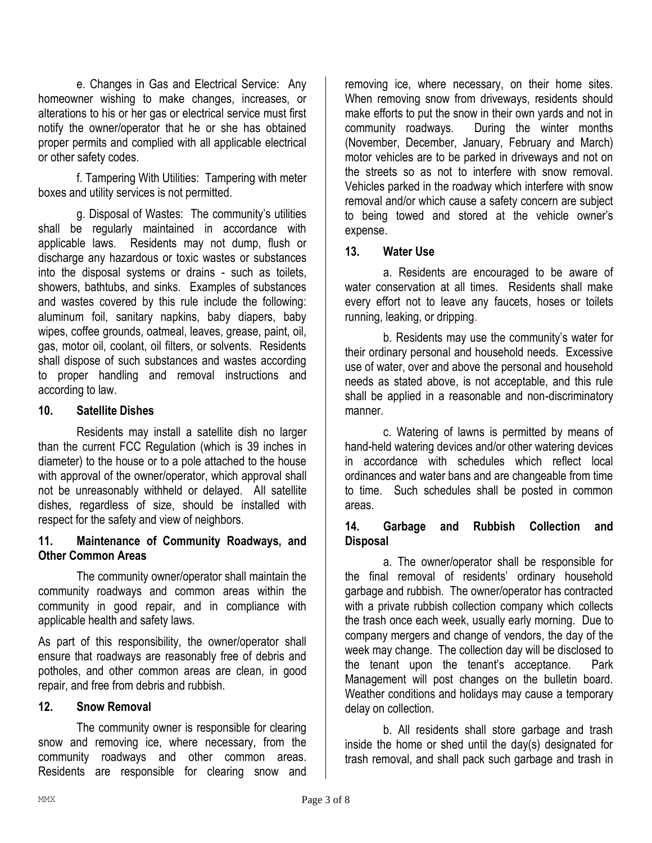e. Changes in Gas and Electrical Service: Any homeowner wishing to make changes, increases, or alterations to his or her gas or electrical service must first notify the owner/operator that he or she has obtained proper permits and complied with all applicable electrical or other safety codes.

f. Tampering With Utilities: Tampering with meter boxes and utility services is not permitted.

g. Disposal of Wastes: The community's utilities shall be regularly maintained in accordance with applicable laws. Residents may not dump, flush or discharge any hazardous or toxic wastes or substances into the disposal systems or drains - such as toilets, showers, bathtubs, and sinks. Examples of substances and wastes covered by this rule include the following: aluminum foil, sanitary napkins, baby diapers, baby wipes, coffee grounds, oatmeal, leaves, grease, paint, oil, gas, motor oil, coolant, oil filters, or solvents. Residents shall dispose of such substances and wastes according to proper handling and removal instructions and according to law.

## **10. Satellite Dishes**

Residents may install a satellite dish no larger than the current FCC Regulation (which is 39 inches in diameter) to the house or to a pole attached to the house with approval of the owner/operator, which approval shall not be unreasonably withheld or delayed. All satellite dishes, regardless of size, should be installed with respect for the safety and view of neighbors.

## **11. Maintenance of Community Roadways, and Other Common Areas**

The community owner/operator shall maintain the community roadways and common areas within the community in good repair, and in compliance with applicable health and safety laws.

As part of this responsibility, the owner/operator shall ensure that roadways are reasonably free of debris and potholes, and other common areas are clean, in good repair, and free from debris and rubbish.

## **12. Snow Removal**

The community owner is responsible for clearing snow and removing ice, where necessary, from the community roadways and other common areas. Residents are responsible for clearing snow and

removing ice, where necessary, on their home sites. When removing snow from driveways, residents should make efforts to put the snow in their own yards and not in community roadways. During the winter months (November, December, January, February and March) motor vehicles are to be parked in driveways and not on the streets so as not to interfere with snow removal. Vehicles parked in the roadway which interfere with snow removal and/or which cause a safety concern are subject to being towed and stored at the vehicle owner's expense.

## **13. Water Use**

a. Residents are encouraged to be aware of water conservation at all times. Residents shall make every effort not to leave any faucets, hoses or toilets running, leaking, or dripping.

b. Residents may use the community's water for their ordinary personal and household needs. Excessive use of water, over and above the personal and household needs as stated above, is not acceptable, and this rule shall be applied in a reasonable and non-discriminatory manner.

c. Watering of lawns is permitted by means of hand-held watering devices and/or other watering devices in accordance with schedules which reflect local ordinances and water bans and are changeable from time to time. Such schedules shall be posted in common areas.

## **14. Garbage and Rubbish Collection and Disposal**

a. The owner/operator shall be responsible for the final removal of residents' ordinary household garbage and rubbish. The owner/operator has contracted with a private rubbish collection company which collects the trash once each week, usually early morning. Due to company mergers and change of vendors, the day of the week may change. The collection day will be disclosed to the tenant upon the tenant's acceptance. Park Management will post changes on the bulletin board. Weather conditions and holidays may cause a temporary delay on collection.

b. All residents shall store garbage and trash inside the home or shed until the day(s) designated for trash removal, and shall pack such garbage and trash in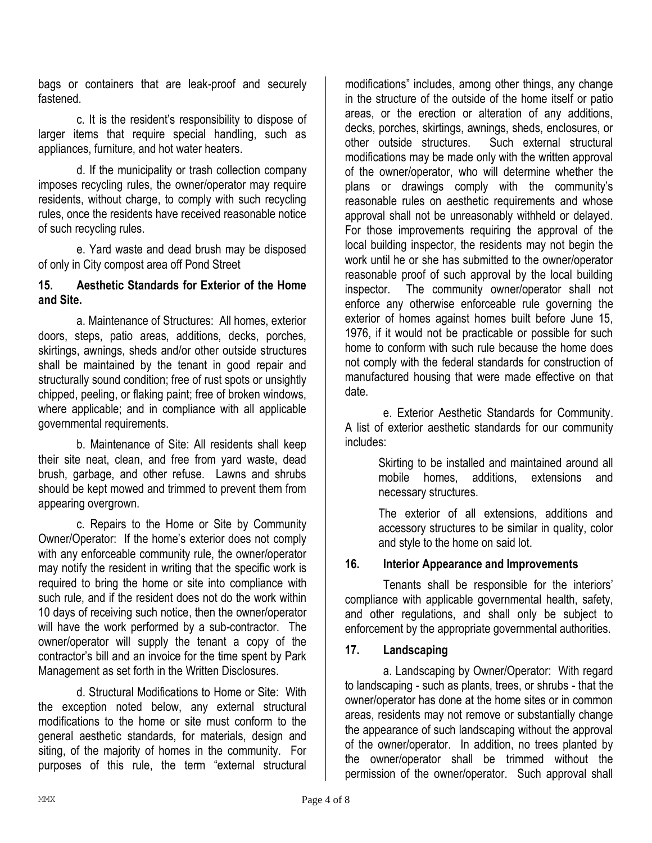bags or containers that are leak-proof and securely fastened.

c. It is the resident's responsibility to dispose of larger items that require special handling, such as appliances, furniture, and hot water heaters.

d. If the municipality or trash collection company imposes recycling rules, the owner/operator may require residents, without charge, to comply with such recycling rules, once the residents have received reasonable notice of such recycling rules.

e. Yard waste and dead brush may be disposed of only in City compost area off Pond Street

## **15. Aesthetic Standards for Exterior of the Home and Site.**

a. Maintenance of Structures: All homes, exterior doors, steps, patio areas, additions, decks, porches, skirtings, awnings, sheds and/or other outside structures shall be maintained by the tenant in good repair and structurally sound condition; free of rust spots or unsightly chipped, peeling, or flaking paint; free of broken windows, where applicable; and in compliance with all applicable governmental requirements.

b. Maintenance of Site: All residents shall keep their site neat, clean, and free from yard waste, dead brush, garbage, and other refuse. Lawns and shrubs should be kept mowed and trimmed to prevent them from appearing overgrown.

c. Repairs to the Home or Site by Community Owner/Operator: If the home's exterior does not comply with any enforceable community rule, the owner/operator may notify the resident in writing that the specific work is required to bring the home or site into compliance with such rule, and if the resident does not do the work within 10 days of receiving such notice, then the owner/operator will have the work performed by a sub-contractor. The owner/operator will supply the tenant a copy of the contractor's bill and an invoice for the time spent by Park Management as set forth in the Written Disclosures.

d. Structural Modifications to Home or Site: With the exception noted below, any external structural modifications to the home or site must conform to the general aesthetic standards, for materials, design and siting, of the majority of homes in the community. For purposes of this rule, the term "external structural

modifications" includes, among other things, any change in the structure of the outside of the home itself or patio areas, or the erection or alteration of any additions, decks, porches, skirtings, awnings, sheds, enclosures, or other outside structures. Such external structural modifications may be made only with the written approval of the owner/operator, who will determine whether the plans or drawings comply with the community's reasonable rules on aesthetic requirements and whose approval shall not be unreasonably withheld or delayed. For those improvements requiring the approval of the local building inspector, the residents may not begin the work until he or she has submitted to the owner/operator reasonable proof of such approval by the local building inspector. The community owner/operator shall not enforce any otherwise enforceable rule governing the exterior of homes against homes built before June 15, 1976, if it would not be practicable or possible for such home to conform with such rule because the home does not comply with the federal standards for construction of manufactured housing that were made effective on that date.

e. Exterior Aesthetic Standards for Community. A list of exterior aesthetic standards for our community includes:

> Skirting to be installed and maintained around all mobile homes, additions, extensions and necessary structures.

> The exterior of all extensions, additions and accessory structures to be similar in quality, color and style to the home on said lot.

## **16. Interior Appearance and Improvements**

Tenants shall be responsible for the interiors' compliance with applicable governmental health, safety, and other regulations, and shall only be subject to enforcement by the appropriate governmental authorities.

## **17. Landscaping**

a. Landscaping by Owner/Operator: With regard to landscaping - such as plants, trees, or shrubs - that the owner/operator has done at the home sites or in common areas, residents may not remove or substantially change the appearance of such landscaping without the approval of the owner/operator. In addition, no trees planted by the owner/operator shall be trimmed without the permission of the owner/operator. Such approval shall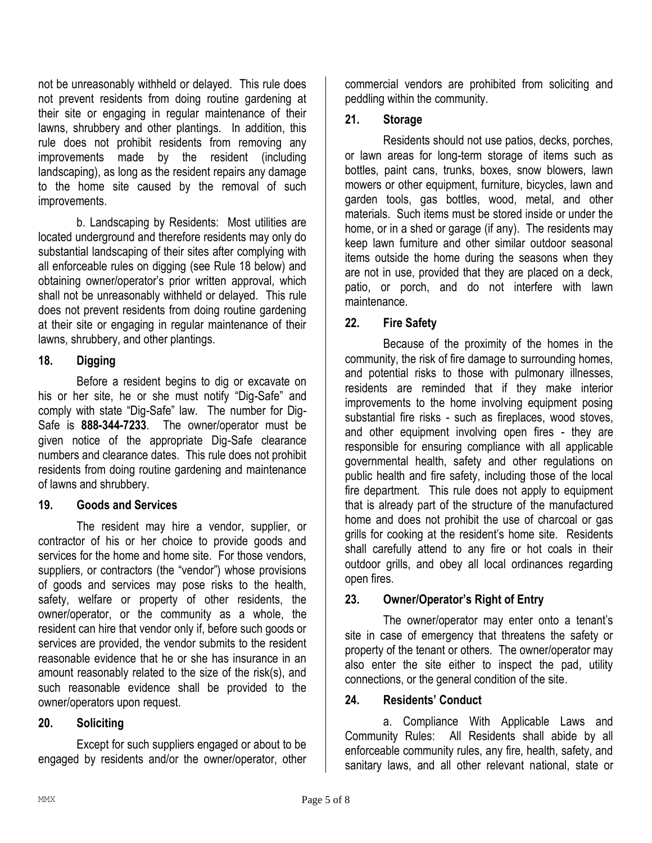not be unreasonably withheld or delayed. This rule does not prevent residents from doing routine gardening at their site or engaging in regular maintenance of their lawns, shrubbery and other plantings. In addition, this rule does not prohibit residents from removing any improvements made by the resident (including landscaping), as long as the resident repairs any damage to the home site caused by the removal of such improvements.

b. Landscaping by Residents: Most utilities are located underground and therefore residents may only do substantial landscaping of their sites after complying with all enforceable rules on digging (see Rule 18 below) and obtaining owner/operator's prior written approval, which shall not be unreasonably withheld or delayed. This rule does not prevent residents from doing routine gardening at their site or engaging in regular maintenance of their lawns, shrubbery, and other plantings.

## **18. Digging**

Before a resident begins to dig or excavate on his or her site, he or she must notify "Dig-Safe" and comply with state "Dig-Safe" law. The number for Dig-Safe is **888-344-7233**. The owner/operator must be given notice of the appropriate Dig-Safe clearance numbers and clearance dates. This rule does not prohibit residents from doing routine gardening and maintenance of lawns and shrubbery.

## **19. Goods and Services**

The resident may hire a vendor, supplier, or contractor of his or her choice to provide goods and services for the home and home site. For those vendors, suppliers, or contractors (the "vendor") whose provisions of goods and services may pose risks to the health, safety, welfare or property of other residents, the owner/operator, or the community as a whole, the resident can hire that vendor only if, before such goods or services are provided, the vendor submits to the resident reasonable evidence that he or she has insurance in an amount reasonably related to the size of the risk(s), and such reasonable evidence shall be provided to the owner/operators upon request.

## **20. Soliciting**

Except for such suppliers engaged or about to be engaged by residents and/or the owner/operator, other

commercial vendors are prohibited from soliciting and peddling within the community.

## **21. Storage**

Residents should not use patios, decks, porches, or lawn areas for long-term storage of items such as bottles, paint cans, trunks, boxes, snow blowers, lawn mowers or other equipment, furniture, bicycles, lawn and garden tools, gas bottles, wood, metal, and other materials. Such items must be stored inside or under the home, or in a shed or garage (if any). The residents may keep lawn furniture and other similar outdoor seasonal items outside the home during the seasons when they are not in use, provided that they are placed on a deck, patio, or porch, and do not interfere with lawn maintenance.

## **22. Fire Safety**

Because of the proximity of the homes in the community, the risk of fire damage to surrounding homes, and potential risks to those with pulmonary illnesses, residents are reminded that if they make interior improvements to the home involving equipment posing substantial fire risks - such as fireplaces, wood stoves, and other equipment involving open fires - they are responsible for ensuring compliance with all applicable governmental health, safety and other regulations on public health and fire safety, including those of the local fire department. This rule does not apply to equipment that is already part of the structure of the manufactured home and does not prohibit the use of charcoal or gas grills for cooking at the resident's home site. Residents shall carefully attend to any fire or hot coals in their outdoor grills, and obey all local ordinances regarding open fires.

## **23. Owner/Operator's Right of Entry**

The owner/operator may enter onto a tenant's site in case of emergency that threatens the safety or property of the tenant or others. The owner/operator may also enter the site either to inspect the pad, utility connections, or the general condition of the site.

## **24. Residents' Conduct**

a. Compliance With Applicable Laws and Community Rules: All Residents shall abide by all enforceable community rules, any fire, health, safety, and sanitary laws, and all other relevant national, state or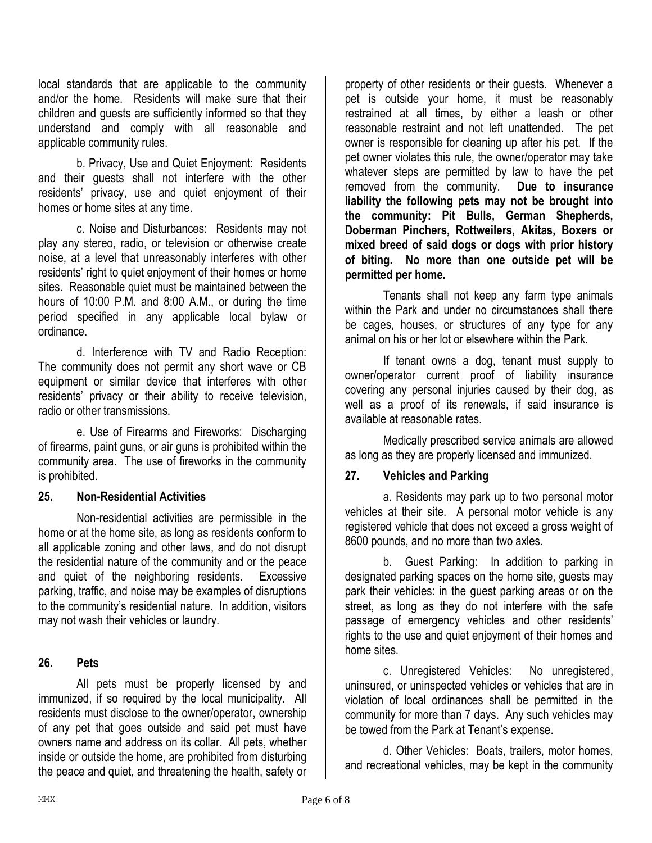local standards that are applicable to the community and/or the home. Residents will make sure that their children and guests are sufficiently informed so that they understand and comply with all reasonable and applicable community rules.

b. Privacy, Use and Quiet Enjoyment: Residents and their guests shall not interfere with the other residents' privacy, use and quiet enjoyment of their homes or home sites at any time.

c. Noise and Disturbances: Residents may not play any stereo, radio, or television or otherwise create noise, at a level that unreasonably interferes with other residents' right to quiet enjoyment of their homes or home sites. Reasonable quiet must be maintained between the hours of 10:00 P.M. and 8:00 A.M., or during the time period specified in any applicable local bylaw or ordinance.

d. Interference with TV and Radio Reception: The community does not permit any short wave or CB equipment or similar device that interferes with other residents' privacy or their ability to receive television, radio or other transmissions.

e. Use of Firearms and Fireworks: Discharging of firearms, paint guns, or air guns is prohibited within the community area. The use of fireworks in the community is prohibited.

## **25. Non-Residential Activities**

Non-residential activities are permissible in the home or at the home site, as long as residents conform to all applicable zoning and other laws, and do not disrupt the residential nature of the community and or the peace and quiet of the neighboring residents. Excessive parking, traffic, and noise may be examples of disruptions to the community's residential nature. In addition, visitors may not wash their vehicles or laundry.

#### **26. Pets**

All pets must be properly licensed by and immunized, if so required by the local municipality. All residents must disclose to the owner/operator, ownership of any pet that goes outside and said pet must have owners name and address on its collar. All pets, whether inside or outside the home, are prohibited from disturbing the peace and quiet, and threatening the health, safety or

property of other residents or their guests. Whenever a pet is outside your home, it must be reasonably restrained at all times, by either a leash or other reasonable restraint and not left unattended. The pet owner is responsible for cleaning up after his pet. If the pet owner violates this rule, the owner/operator may take whatever steps are permitted by law to have the pet removed from the community. **Due to insurance liability the following pets may not be brought into the community: Pit Bulls, German Shepherds, Doberman Pinchers, Rottweilers, Akitas, Boxers or mixed breed of said dogs or dogs with prior history of biting. No more than one outside pet will be permitted per home.**

Tenants shall not keep any farm type animals within the Park and under no circumstances shall there be cages, houses, or structures of any type for any animal on his or her lot or elsewhere within the Park.

If tenant owns a dog, tenant must supply to owner/operator current proof of liability insurance covering any personal injuries caused by their dog, as well as a proof of its renewals, if said insurance is available at reasonable rates.

Medically prescribed service animals are allowed as long as they are properly licensed and immunized.

## **27. Vehicles and Parking**

a. Residents may park up to two personal motor vehicles at their site. A personal motor vehicle is any registered vehicle that does not exceed a gross weight of 8600 pounds, and no more than two axles.

b. Guest Parking: In addition to parking in designated parking spaces on the home site, guests may park their vehicles: in the guest parking areas or on the street, as long as they do not interfere with the safe passage of emergency vehicles and other residents' rights to the use and quiet enjoyment of their homes and home sites.

c. Unregistered Vehicles: No unregistered, uninsured, or uninspected vehicles or vehicles that are in violation of local ordinances shall be permitted in the community for more than 7 days. Any such vehicles may be towed from the Park at Tenant's expense.

d. Other Vehicles: Boats, trailers, motor homes, and recreational vehicles, may be kept in the community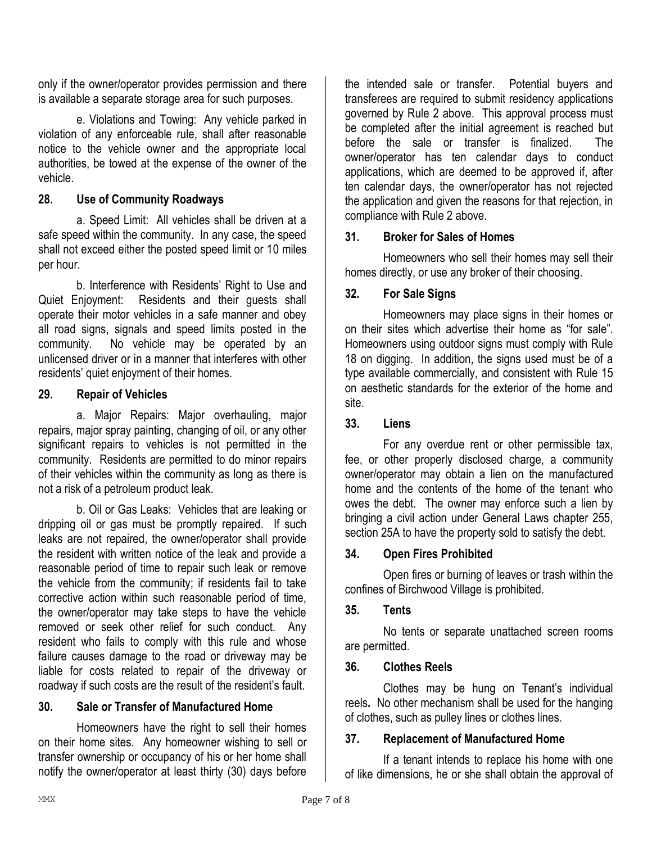only if the owner/operator provides permission and there is available a separate storage area for such purposes.

e. Violations and Towing: Any vehicle parked in violation of any enforceable rule, shall after reasonable notice to the vehicle owner and the appropriate local authorities, be towed at the expense of the owner of the vehicle.

## **28. Use of Community Roadways**

a. Speed Limit: All vehicles shall be driven at a safe speed within the community. In any case, the speed shall not exceed either the posted speed limit or 10 miles per hour.

b. Interference with Residents' Right to Use and Quiet Enjoyment: Residents and their guests shall operate their motor vehicles in a safe manner and obey all road signs, signals and speed limits posted in the community. No vehicle may be operated by an unlicensed driver or in a manner that interferes with other residents' quiet enjoyment of their homes.

## **29. Repair of Vehicles**

a. Major Repairs: Major overhauling, major repairs, major spray painting, changing of oil, or any other significant repairs to vehicles is not permitted in the community. Residents are permitted to do minor repairs of their vehicles within the community as long as there is not a risk of a petroleum product leak.

b. Oil or Gas Leaks: Vehicles that are leaking or dripping oil or gas must be promptly repaired. If such leaks are not repaired, the owner/operator shall provide the resident with written notice of the leak and provide a reasonable period of time to repair such leak or remove the vehicle from the community; if residents fail to take corrective action within such reasonable period of time, the owner/operator may take steps to have the vehicle removed or seek other relief for such conduct. Any resident who fails to comply with this rule and whose failure causes damage to the road or driveway may be liable for costs related to repair of the driveway or roadway if such costs are the result of the resident's fault.

## **30. Sale or Transfer of Manufactured Home**

Homeowners have the right to sell their homes on their home sites. Any homeowner wishing to sell or transfer ownership or occupancy of his or her home shall notify the owner/operator at least thirty (30) days before

the intended sale or transfer. Potential buyers and transferees are required to submit residency applications governed by Rule 2 above. This approval process must be completed after the initial agreement is reached but before the sale or transfer is finalized. The owner/operator has ten calendar days to conduct applications, which are deemed to be approved if, after ten calendar days, the owner/operator has not rejected the application and given the reasons for that rejection, in compliance with Rule 2 above.

## **31. Broker for Sales of Homes**

Homeowners who sell their homes may sell their homes directly, or use any broker of their choosing.

## **32. For Sale Signs**

Homeowners may place signs in their homes or on their sites which advertise their home as "for sale". Homeowners using outdoor signs must comply with Rule 18 on digging. In addition, the signs used must be of a type available commercially, and consistent with Rule 15 on aesthetic standards for the exterior of the home and site.

#### **33. Liens**

For any overdue rent or other permissible tax, fee, or other properly disclosed charge, a community owner/operator may obtain a lien on the manufactured home and the contents of the home of the tenant who owes the debt. The owner may enforce such a lien by bringing a civil action under General Laws chapter 255, section 25A to have the property sold to satisfy the debt.

## **34. Open Fires Prohibited**

Open fires or burning of leaves or trash within the confines of Birchwood Village is prohibited.

## **35. Tents**

No tents or separate unattached screen rooms are permitted.

#### **36. Clothes Reels**

Clothes may be hung on Tenant's individual reels**.** No other mechanism shall be used for the hanging of clothes, such as pulley lines or clothes lines.

## **37. Replacement of Manufactured Home**

If a tenant intends to replace his home with one of like dimensions, he or she shall obtain the approval of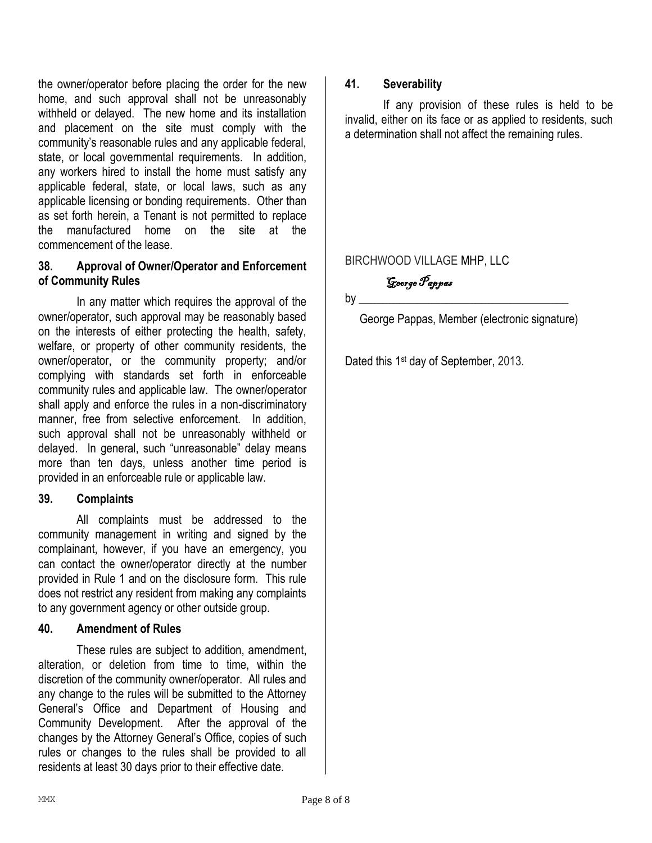the owner/operator before placing the order for the new home, and such approval shall not be unreasonably withheld or delayed. The new home and its installation and placement on the site must comply with the community's reasonable rules and any applicable federal, state, or local governmental requirements. In addition, any workers hired to install the home must satisfy any applicable federal, state, or local laws, such as any applicable licensing or bonding requirements. Other than as set forth herein, a Tenant is not permitted to replace the manufactured home on the site at the commencement of the lease.

#### **38. Approval of Owner/Operator and Enforcement of Community Rules**

In any matter which requires the approval of the owner/operator, such approval may be reasonably based on the interests of either protecting the health, safety, welfare, or property of other community residents, the owner/operator, or the community property; and/or complying with standards set forth in enforceable community rules and applicable law. The owner/operator shall apply and enforce the rules in a non-discriminatory manner, free from selective enforcement. In addition, such approval shall not be unreasonably withheld or delayed. In general, such "unreasonable" delay means more than ten days, unless another time period is provided in an enforceable rule or applicable law.

## **39. Complaints**

All complaints must be addressed to the community management in writing and signed by the complainant, however, if you have an emergency, you can contact the owner/operator directly at the number provided in Rule 1 and on the disclosure form. This rule does not restrict any resident from making any complaints to any government agency or other outside group.

## **40. Amendment of Rules**

These rules are subject to addition, amendment, alteration, or deletion from time to time, within the discretion of the community owner/operator. All rules and any change to the rules will be submitted to the Attorney General's Office and Department of Housing and Community Development. After the approval of the changes by the Attorney General's Office, copies of such rules or changes to the rules shall be provided to all residents at least 30 days prior to their effective date.

#### **41. Severability**

If any provision of these rules is held to be invalid, either on its face or as applied to residents, such a determination shall not affect the remaining rules.

## BIRCHWOOD VILLAGE MHP, LLC

George Pappas

 $by \_\_$ 

George Pappas, Member (electronic signature)

Dated this 1<sup>st</sup> day of September, 2013.